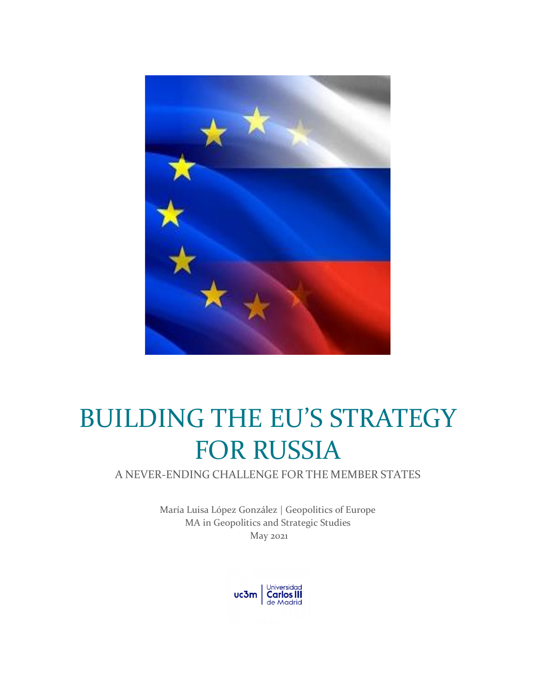

# BUILDING THE EU'S STRATEGY FOR RUSSIA

A NEVER-ENDING CHALLENGE FOR THE MEMBER STATES

María Luisa López González | Geopolitics of Europe MA in Geopolitics and Strategic Studies May 2021

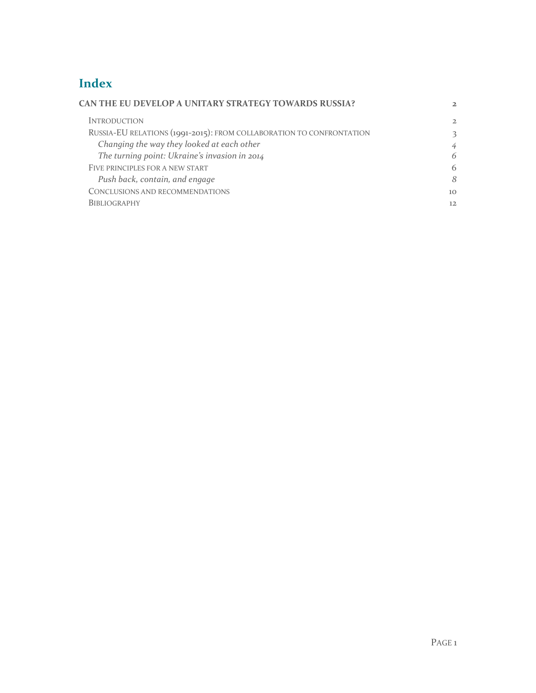# **Index**

| CAN THE EU DEVELOP A UNITARY STRATEGY TOWARDS RUSSIA?                | $\overline{2}$  |
|----------------------------------------------------------------------|-----------------|
| <b>INTRODUCTION</b>                                                  | $\overline{2}$  |
| RUSSIA-EU RELATIONS (1991-2015): FROM COLLABORATION TO CONFRONTATION | 3               |
| Changing the way they looked at each other                           | 4               |
| The turning point: Ukraine's invasion in 2014                        | 6               |
| FIVE PRINCIPLES FOR A NEW START                                      | 6               |
| Push back, contain, and engage                                       | 8               |
| CONCLUSIONS AND RECOMMENDATIONS                                      | 10 <sup>1</sup> |
| <b>BIBLIOGRAPHY</b>                                                  | 12              |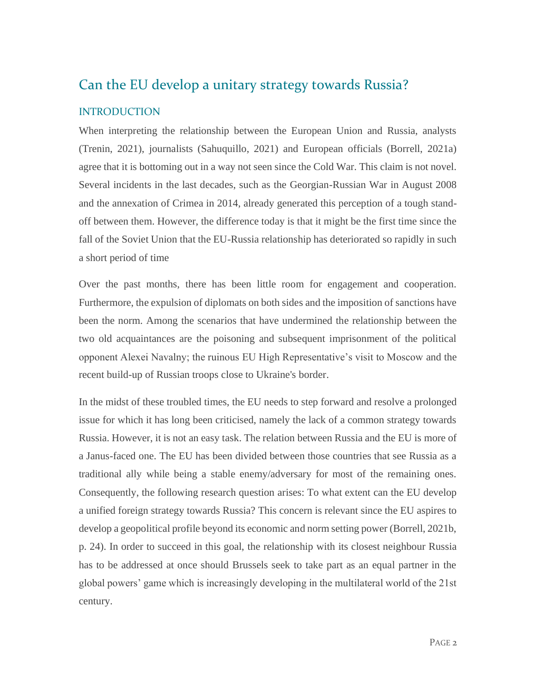# <span id="page-2-0"></span>Can the EU develop a unitary strategy towards Russia?

## <span id="page-2-1"></span>INTRODUCTION

When interpreting the relationship between the European Union and Russia, analysts (Trenin, 2021), journalists (Sahuquillo, 2021) and European officials (Borrell, 2021a) agree that it is bottoming out in a way not seen since the Cold War. This claim is not novel. Several incidents in the last decades, such as the Georgian-Russian War in August 2008 and the annexation of Crimea in 2014, already generated this perception of a tough standoff between them. However, the difference today is that it might be the first time since the fall of the Soviet Union that the EU-Russia relationship has deteriorated so rapidly in such a short period of time

Over the past months, there has been little room for engagement and cooperation. Furthermore, the expulsion of diplomats on both sides and the imposition of sanctions have been the norm. Among the scenarios that have undermined the relationship between the two old acquaintances are the poisoning and subsequent imprisonment of the political opponent Alexei Navalny; the ruinous EU High Representative's visit to Moscow and the recent build-up of Russian troops close to Ukraine's border.

In the midst of these troubled times, the EU needs to step forward and resolve a prolonged issue for which it has long been criticised, namely the lack of a common strategy towards Russia. However, it is not an easy task. The relation between Russia and the EU is more of a Janus-faced one. The EU has been divided between those countries that see Russia as a traditional ally while being a stable enemy/adversary for most of the remaining ones. Consequently, the following research question arises: To what extent can the EU develop a unified foreign strategy towards Russia? This concern is relevant since the EU aspires to develop a geopolitical profile beyond its economic and norm setting power (Borrell, 2021b, p. 24). In order to succeed in this goal, the relationship with its closest neighbour Russia has to be addressed at once should Brussels seek to take part as an equal partner in the global powers' game which is increasingly developing in the multilateral world of the 21st century.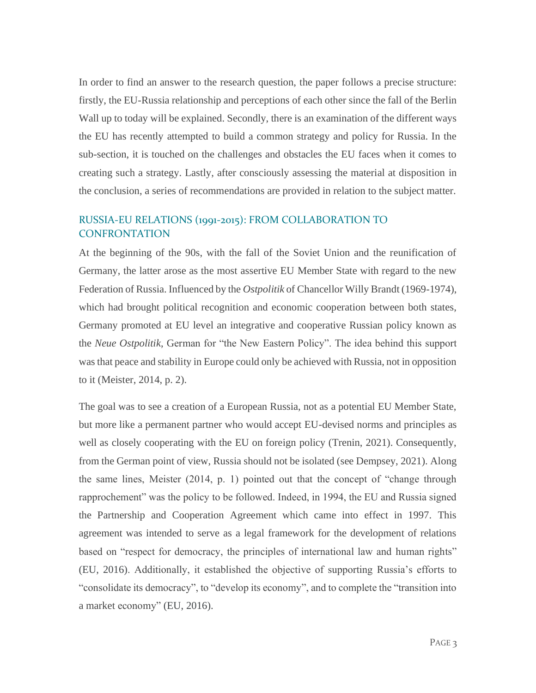In order to find an answer to the research question, the paper follows a precise structure: firstly, the EU-Russia relationship and perceptions of each other since the fall of the Berlin Wall up to today will be explained. Secondly, there is an examination of the different ways the EU has recently attempted to build a common strategy and policy for Russia. In the sub-section, it is touched on the challenges and obstacles the EU faces when it comes to creating such a strategy. Lastly, after consciously assessing the material at disposition in the conclusion, a series of recommendations are provided in relation to the subject matter.

## <span id="page-3-0"></span>RUSSIA-EU RELATIONS (1991-2015): FROM COLLABORATION TO **CONFRONTATION**

At the beginning of the 90s, with the fall of the Soviet Union and the reunification of Germany, the latter arose as the most assertive EU Member State with regard to the new Federation of Russia. Influenced by the *Ostpolitik* of Chancellor Willy Brandt (1969-1974), which had brought political recognition and economic cooperation between both states, Germany promoted at EU level an integrative and cooperative Russian policy known as the *Neue Ostpolitik*, German for "the New Eastern Policy". The idea behind this support was that peace and stability in Europe could only be achieved with Russia, not in opposition to it (Meister, 2014, p. 2).

The goal was to see a creation of a European Russia, not as a potential EU Member State, but more like a permanent partner who would accept EU-devised norms and principles as well as closely cooperating with the EU on foreign policy (Trenin, 2021). Consequently, from the German point of view, Russia should not be isolated (see Dempsey, 2021). Along the same lines, Meister (2014, p. 1) pointed out that the concept of "change through rapprochement" was the policy to be followed. Indeed, in 1994, the EU and Russia signed the Partnership and Cooperation Agreement which came into effect in 1997. This agreement was intended to serve as a legal framework for the development of relations based on "respect for democracy, the principles of international law and human rights" (EU, 2016). Additionally, it established the objective of supporting Russia's efforts to "consolidate its democracy", to "develop its economy", and to complete the "transition into a market economy" (EU, 2016).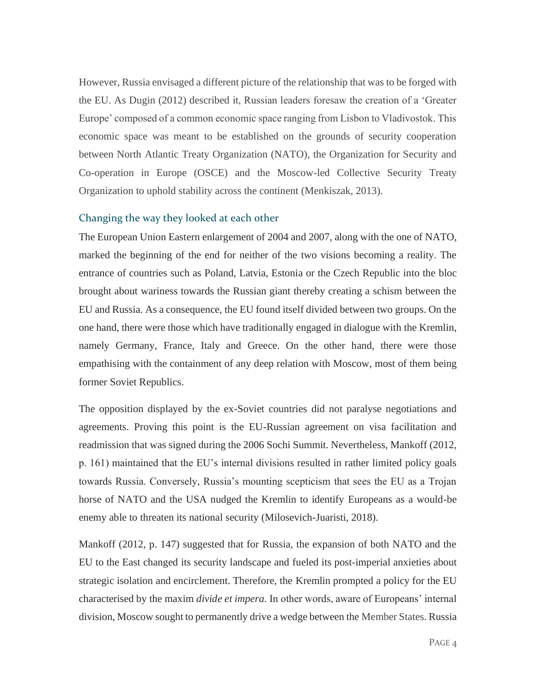However, Russia envisaged a different picture of the relationship that was to be forged with the EU. As Dugin (2012) described it, Russian leaders foresaw the creation of a 'Greater Europe' composed of a common economic space ranging from Lisbon to Vladivostok. This economic space was meant to be established on the grounds of security cooperation between North Atlantic Treaty Organization (NATO), the Organization for Security and Co-operation in Europe (OSCE) and the Moscow-led Collective Security Treaty Organization to uphold stability across the continent (Menkiszak, 2013).

#### <span id="page-4-0"></span>Changing the way they looked at each other

The European Union Eastern enlargement of 2004 and 2007, along with the one of NATO, marked the beginning of the end for neither of the two visions becoming a reality. The entrance of countries such as Poland, Latvia, Estonia or the Czech Republic into the bloc brought about wariness towards the Russian giant thereby creating a schism between the EU and Russia. As a consequence, the EU found itself divided between two groups. On the one hand, there were those which have traditionally engaged in dialogue with the Kremlin, namely Germany, France, Italy and Greece. On the other hand, there were those empathising with the containment of any deep relation with Moscow, most of them being former Soviet Republics.

The opposition displayed by the ex-Soviet countries did not paralyse negotiations and agreements. Proving this point is the EU-Russian agreement on visa facilitation and readmission that was signed during the 2006 Sochi Summit. Nevertheless, Mankoff (2012, p. 161) maintained that the EU's internal divisions resulted in rather limited policy goals towards Russia. Conversely, Russia's mounting scepticism that sees the EU as a Trojan horse of NATO and the USA nudged the Kremlin to identify Europeans as a would-be enemy able to threaten its national security (Milosevich-Juaristi, 2018).

Mankoff (2012, p. 147) suggested that for Russia, the expansion of both NATO and the EU to the East changed its security landscape and fueled its post-imperial anxieties about strategic isolation and encirclement. Therefore, the Kremlin prompted a policy for the EU characterised by the maxim *divide et impera*. In other words, aware of Europeans' internal division, Moscow sought to permanently drive a wedge between the Member States. Russia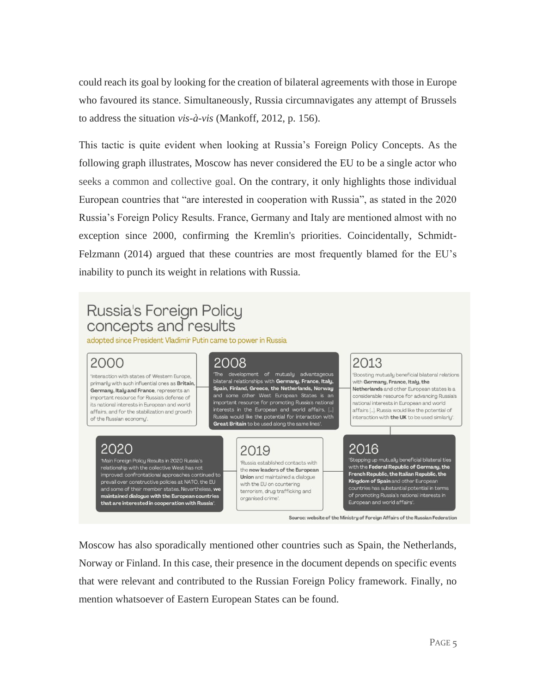could reach its goal by looking for the creation of bilateral agreements with those in Europe who favoured its stance. Simultaneously, Russia circumnavigates any attempt of Brussels to address the situation *vis-à-vis* (Mankoff, 2012, p. 156).

This tactic is quite evident when looking at Russia's Foreign Policy Concepts. As the following graph illustrates, Moscow has never considered the EU to be a single actor who seeks a common and collective goal. On the contrary, it only highlights those individual European countries that "are interested in cooperation with Russia", as stated in the 2020 Russia's Foreign Policy Results. France, Germany and Italy are mentioned almost with no exception since 2000, confirming the Kremlin's priorities. Coincidentally, Schmidt-Felzmann (2014) argued that these countries are most frequently blamed for the EU's inability to punch its weight in relations with Russia.

# Russia's Foreign Policy concepts and results

adopted since President Vladimir Putin came to power in Russia

## 2000

'Interaction with states of Western Europe, primarily with such influential ones as Britain, Germany, Italy and France, represents an important resource for Russia's defense of its national interests in European and world affairs, and for the stabilization and growth of the Russian economy".

## 2020

Main Foreign Policy Results in 2020 Russia's relationship with the collective West has not improved: confrontational approaches continued to and some of their member states. Nevertheless, we maintained dialogue with the European countries that are interested in cooperation with Russia .

## 2008

The development of mutually advantage bilateral relationships with Germany, France, Italy, Spain, Finland, Greece, the Netherlands, Norway and some other West European States is an important resource for promoting Russia's national interests in the European and world affairs, Rus ia would like the potential for interaction with Great Britain to be used along the same lines'

## 2019

Russia established contacts with the new leaders of the European **Union** and maintained a dialogue with the EU on countering terrorism, drug trafficking and organised crime".

# 2013

Boosting mutually beneficial bilateral relations with Germany, France, Italy, the Netherlands and other European states is a considerable resource for advancing Russia's national interests in European and world affairs [...]. Russia would like the potential of interaction with the UK to be used similarly".

# 2016

Stepping up mutually beneficial bilateral ties with the Federal Republic of Germany, the French Republic, the Italian Republic, the Kingdom of Spain and other European countries has substantial potential in terms of promoting Russia's national interests in European and world affairs'.

Source: website of the Ministry of Foreign Affairs of the Russian Federation

Moscow has also sporadically mentioned other countries such as Spain, the Netherlands, Norway or Finland. In this case, their presence in the document depends on specific events that were relevant and contributed to the Russian Foreign Policy framework. Finally, no mention whatsoever of Eastern European States can be found.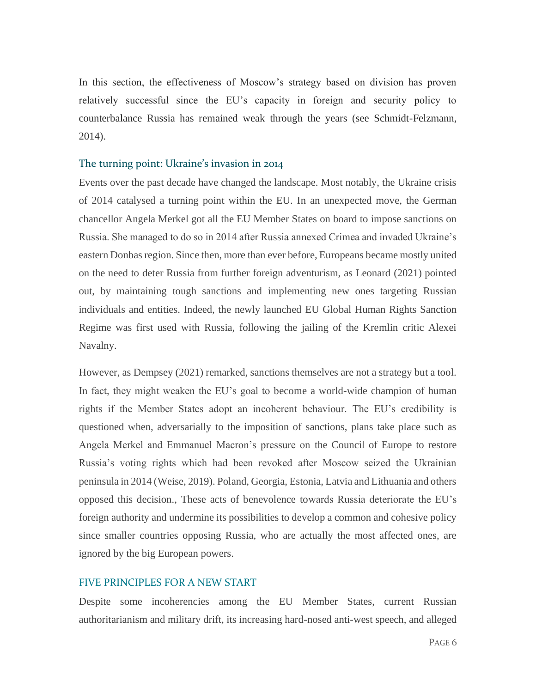In this section, the effectiveness of Moscow's strategy based on division has proven relatively successful since the EU's capacity in foreign and security policy to counterbalance Russia has remained weak through the years (see Schmidt-Felzmann, 2014).

#### <span id="page-6-0"></span>The turning point: Ukraine's invasion in 2014

Events over the past decade have changed the landscape. Most notably, the Ukraine crisis of 2014 catalysed a turning point within the EU. In an unexpected move, the German chancellor Angela Merkel got all the EU Member States on board to impose sanctions on Russia. She managed to do so in 2014 after Russia annexed Crimea and invaded Ukraine's eastern Donbas region. Since then, more than ever before, Europeans became mostly united on the need to deter Russia from further foreign adventurism, as Leonard (2021) pointed out, by maintaining tough sanctions and implementing new ones targeting Russian individuals and entities. Indeed, the newly launched EU Global Human Rights Sanction Regime was first used with Russia, following the jailing of the Kremlin critic Alexei Navalny.

However, as Dempsey (2021) remarked, sanctions themselves are not a strategy but a tool. In fact, they might weaken the EU's goal to become a world-wide champion of human rights if the Member States adopt an incoherent behaviour. The EU's credibility is questioned when, adversarially to the imposition of sanctions, plans take place such as Angela Merkel and Emmanuel Macron's pressure on the Council of Europe to restore Russia's voting rights which had been revoked after Moscow seized the Ukrainian peninsula in 2014 (Weise, 2019). Poland, Georgia, Estonia, Latvia and Lithuania and others opposed this decision., These acts of benevolence towards Russia deteriorate the EU's foreign authority and undermine its possibilities to develop a common and cohesive policy since smaller countries opposing Russia, who are actually the most affected ones, are ignored by the big European powers.

#### <span id="page-6-1"></span>FIVE PRINCIPLES FOR A NEW START

Despite some incoherencies among the EU Member States, current Russian authoritarianism and military drift, its increasing hard-nosed anti-west speech, and alleged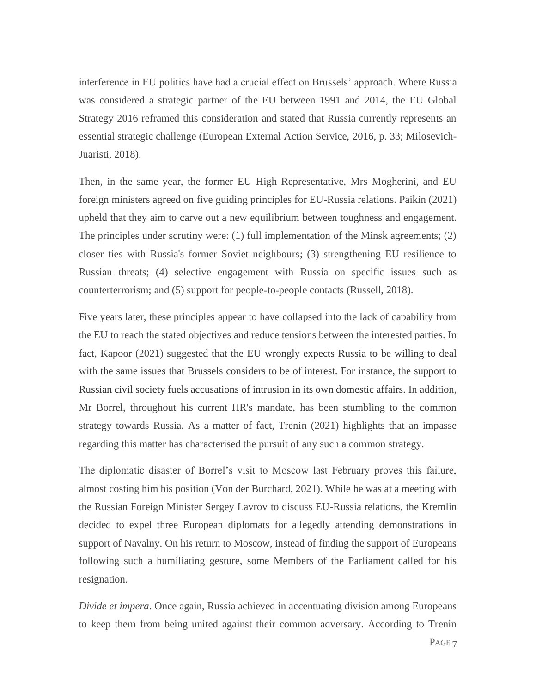interference in EU politics have had a crucial effect on Brussels' approach. Where Russia was considered a strategic partner of the EU between 1991 and 2014, the EU Global Strategy 2016 reframed this consideration and stated that Russia currently represents an essential strategic challenge (European External Action Service, 2016, p. 33; Milosevich-Juaristi, 2018).

Then, in the same year, the former EU High Representative, Mrs Mogherini, and EU foreign ministers agreed on five guiding principles for EU-Russia relations. Paikin (2021) upheld that they aim to carve out a new equilibrium between toughness and engagement. The principles under scrutiny were: (1) full implementation of the Minsk agreements; (2) closer ties with Russia's former Soviet neighbours; (3) strengthening EU resilience to Russian threats; (4) selective engagement with Russia on specific issues such as counterterrorism; and (5) support for people-to-people contacts (Russell, 2018).

Five years later, these principles appear to have collapsed into the lack of capability from the EU to reach the stated objectives and reduce tensions between the interested parties. In fact, Kapoor (2021) suggested that the EU wrongly expects Russia to be willing to deal with the same issues that Brussels considers to be of interest. For instance, the support to Russian civil society fuels accusations of intrusion in its own domestic affairs. In addition, Mr Borrel, throughout his current HR's mandate, has been stumbling to the common strategy towards Russia. As a matter of fact, Trenin (2021) highlights that an impasse regarding this matter has characterised the pursuit of any such a common strategy.

The diplomatic disaster of Borrel's visit to Moscow last February proves this failure, almost costing him his position (Von der Burchard, 2021). While he was at a meeting with the Russian Foreign Minister Sergey Lavrov to discuss EU-Russia relations, the Kremlin decided to expel three European diplomats for allegedly attending demonstrations in support of Navalny. On his return to Moscow, instead of finding the support of Europeans following such a humiliating gesture, some Members of the Parliament called for his resignation.

*Divide et impera*. Once again, Russia achieved in accentuating division among Europeans to keep them from being united against their common adversary. According to Trenin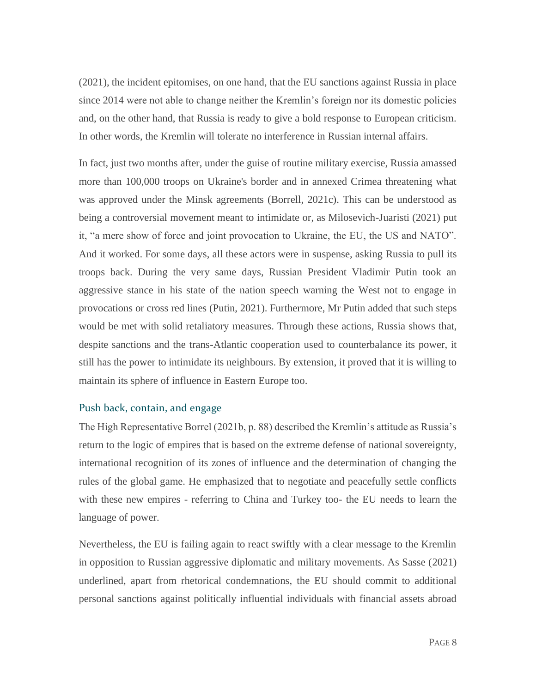(2021), the incident epitomises, on one hand, that the EU sanctions against Russia in place since 2014 were not able to change neither the Kremlin's foreign nor its domestic policies and, on the other hand, that Russia is ready to give a bold response to European criticism. In other words, the Kremlin will tolerate no interference in Russian internal affairs.

In fact, just two months after, under the guise of routine military exercise, Russia amassed more than 100,000 troops on Ukraine's border and in annexed Crimea threatening what was approved under the Minsk agreements (Borrell, 2021c). This can be understood as being a controversial movement meant to intimidate or, as Milosevich-Juaristi (2021) put it, "a mere show of force and joint provocation to Ukraine, the EU, the US and NATO". And it worked. For some days, all these actors were in suspense, asking Russia to pull its troops back. During the very same days, Russian President Vladimir Putin took an aggressive stance in his state of the nation speech warning the West not to engage in provocations or cross red lines (Putin, 2021). Furthermore, Mr Putin added that such steps would be met with solid retaliatory measures. Through these actions, Russia shows that, despite sanctions and the trans-Atlantic cooperation used to counterbalance its power, it still has the power to intimidate its neighbours. By extension, it proved that it is willing to maintain its sphere of influence in Eastern Europe too.

#### <span id="page-8-0"></span>Push back, contain, and engage

The High Representative Borrel (2021b, p. 88) described the Kremlin's attitude as Russia's return to the logic of empires that is based on the extreme defense of national sovereignty, international recognition of its zones of influence and the determination of changing the rules of the global game. He emphasized that to negotiate and peacefully settle conflicts with these new empires - referring to China and Turkey too- the EU needs to learn the language of power.

Nevertheless, the EU is failing again to react swiftly with a clear message to the Kremlin in opposition to Russian aggressive diplomatic and military movements. As Sasse (2021) underlined, apart from rhetorical condemnations, the EU should commit to additional personal sanctions against politically influential individuals with financial assets abroad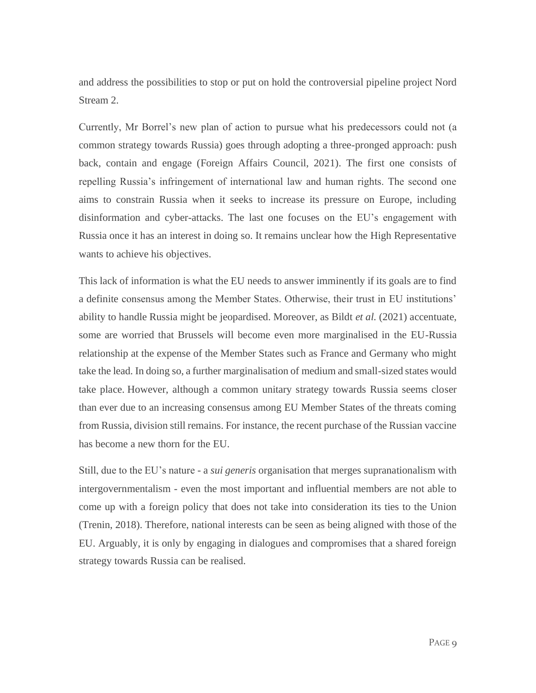and address the possibilities to stop or put on hold the controversial pipeline project Nord Stream 2.

Currently, Mr Borrel's new plan of action to pursue what his predecessors could not (a common strategy towards Russia) goes through adopting a three-pronged approach: push back, contain and engage (Foreign Affairs Council, 2021). The first one consists of repelling Russia's infringement of international law and human rights. The second one aims to constrain Russia when it seeks to increase its pressure on Europe, including disinformation and cyber-attacks. The last one focuses on the EU's engagement with Russia once it has an interest in doing so. It remains unclear how the High Representative wants to achieve his objectives.

This lack of information is what the EU needs to answer imminently if its goals are to find a definite consensus among the Member States. Otherwise, their trust in EU institutions' ability to handle Russia might be jeopardised. Moreover, as Bildt *et al.* (2021) accentuate, some are worried that Brussels will become even more marginalised in the EU-Russia relationship at the expense of the Member States such as France and Germany who might take the lead. In doing so, a further marginalisation of medium and small-sized states would take place. However, although a common unitary strategy towards Russia seems closer than ever due to an increasing consensus among EU Member States of the threats coming from Russia, division still remains. For instance, the recent purchase of the Russian vaccine has become a new thorn for the EU.

Still, due to the EU's nature - a *sui generis* organisation that merges supranationalism with intergovernmentalism - even the most important and influential members are not able to come up with a foreign policy that does not take into consideration its ties to the Union (Trenin, 2018). Therefore, national interests can be seen as being aligned with those of the EU. Arguably, it is only by engaging in dialogues and compromises that a shared foreign strategy towards Russia can be realised.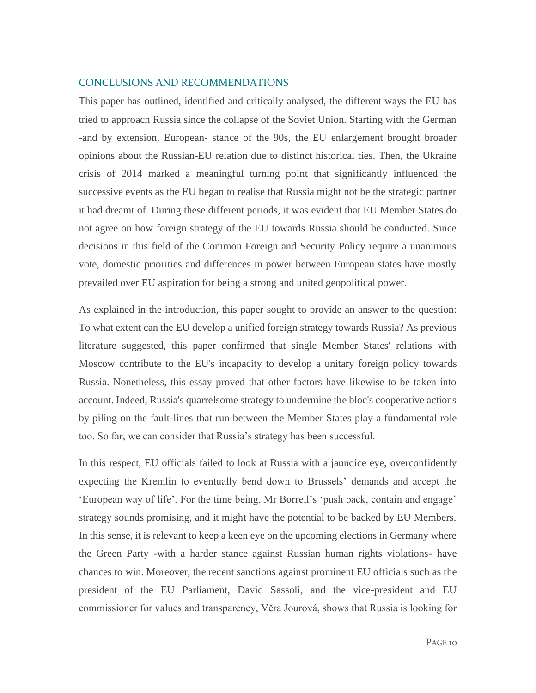#### <span id="page-10-0"></span>CONCLUSIONS AND RECOMMENDATIONS

This paper has outlined, identified and critically analysed, the different ways the EU has tried to approach Russia since the collapse of the Soviet Union. Starting with the German -and by extension, European- stance of the 90s, the EU enlargement brought broader opinions about the Russian-EU relation due to distinct historical ties. Then, the Ukraine crisis of 2014 marked a meaningful turning point that significantly influenced the successive events as the EU began to realise that Russia might not be the strategic partner it had dreamt of. During these different periods, it was evident that EU Member States do not agree on how foreign strategy of the EU towards Russia should be conducted. Since decisions in this field of the Common Foreign and Security Policy require a unanimous vote, domestic priorities and differences in power between European states have mostly prevailed over EU aspiration for being a strong and united geopolitical power.

As explained in the introduction, this paper sought to provide an answer to the question: To what extent can the EU develop a unified foreign strategy towards Russia? As previous literature suggested, this paper confirmed that single Member States' relations with Moscow contribute to the EU's incapacity to develop a unitary foreign policy towards Russia. Nonetheless, this essay proved that other factors have likewise to be taken into account. Indeed, Russia's quarrelsome strategy to undermine the bloc's cooperative actions by piling on the fault-lines that run between the Member States play a fundamental role too. So far, we can consider that Russia's strategy has been successful.

In this respect, EU officials failed to look at Russia with a jaundice eye, overconfidently expecting the Kremlin to eventually bend down to Brussels' demands and accept the 'European way of life'. For the time being, Mr Borrell's 'push back, contain and engage' strategy sounds promising, and it might have the potential to be backed by EU Members. In this sense, it is relevant to keep a keen eye on the upcoming elections in Germany where the Green Party -with a harder stance against Russian human rights violations- have chances to win. Moreover, the recent sanctions against prominent EU officials such as the president of the EU Parliament, David Sassoli, and the vice-president and EU commissioner for values and transparency, Věra Jourová, shows that Russia is looking for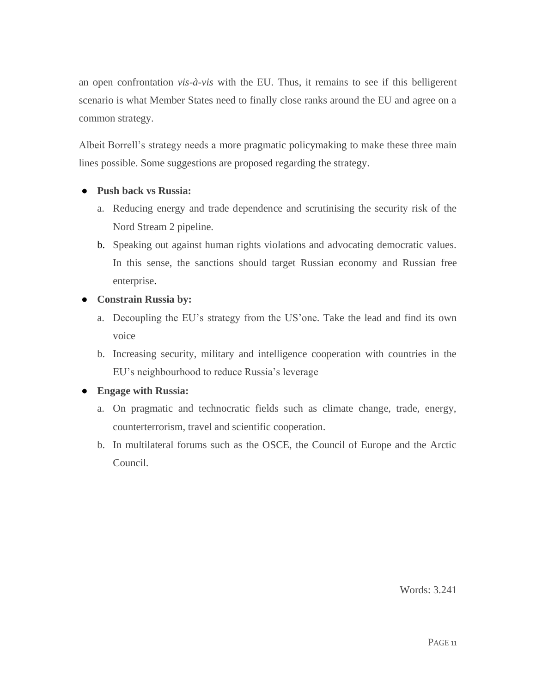an open confrontation *vis-à-vis* with the EU. Thus, it remains to see if this belligerent scenario is what Member States need to finally close ranks around the EU and agree on a common strategy.

Albeit Borrell's strategy needs a more pragmatic policymaking to make these three main lines possible. Some suggestions are proposed regarding the strategy.

### ● **Push back vs Russia:**

- a. Reducing energy and trade dependence and scrutinising the security risk of the Nord Stream 2 pipeline.
- b. Speaking out against human rights violations and advocating democratic values. In this sense, the sanctions should target Russian economy and Russian free enterprise.
- **Constrain Russia by:**
	- a. Decoupling the EU's strategy from the US'one. Take the lead and find its own voice
	- b. Increasing security, military and intelligence cooperation with countries in the EU's neighbourhood to reduce Russia's leverage

### ● **Engage with Russia:**

- a. On pragmatic and technocratic fields such as climate change, trade, energy, counterterrorism, travel and scientific cooperation.
- b. In multilateral forums such as the OSCE, the Council of Europe and the Arctic Council.

Words: 3.241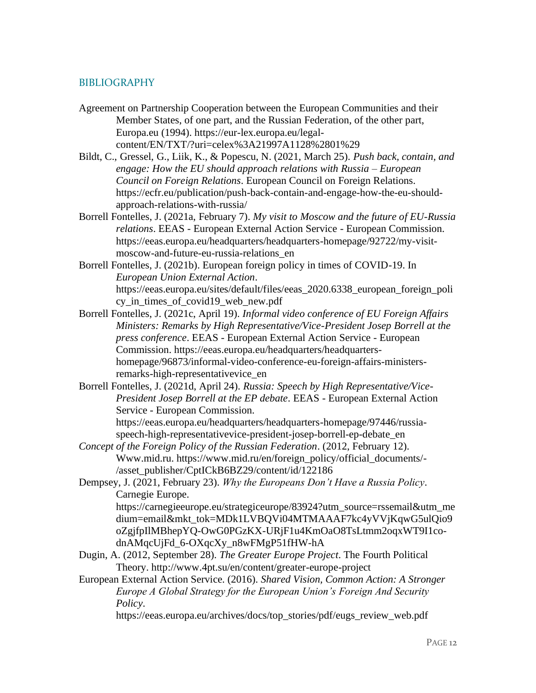#### <span id="page-12-0"></span>BIBLIOGRAPHY

- Agreement on Partnership Cooperation between the European Communities and their Member States, of one part, and the Russian Federation, of the other part, Europa.eu (1994). https://eur-lex.europa.eu/legalcontent/EN/TXT/?uri=celex%3A21997A1128%2801%29
- Bildt, C., Gressel, G., Liik, K., & Popescu, N. (2021, March 25). *Push back, contain, and engage: How the EU should approach relations with Russia – European Council on Foreign Relations*. European Council on Foreign Relations. https://ecfr.eu/publication/push-back-contain-and-engage-how-the-eu-shouldapproach-relations-with-russia/
- Borrell Fontelles, J. (2021a, February 7). *My visit to Moscow and the future of EU-Russia relations*. EEAS - European External Action Service - European Commission. https://eeas.europa.eu/headquarters/headquarters-homepage/92722/my-visitmoscow-and-future-eu-russia-relations\_en
- Borrell Fontelles, J. (2021b). European foreign policy in times of COVID-19. In *European Union External Action*. https://eeas.europa.eu/sites/default/files/eeas\_2020.6338\_european\_foreign\_poli cy\_in\_times\_of\_covid19\_web\_new.pdf
- Borrell Fontelles, J. (2021c, April 19). *Informal video conference of EU Foreign Affairs Ministers: Remarks by High Representative/Vice-President Josep Borrell at the press conference*. EEAS - European External Action Service - European Commission. https://eeas.europa.eu/headquarters/headquartershomepage/96873/informal-video-conference-eu-foreign-affairs-ministersremarks-high-representativevice\_en
- Borrell Fontelles, J. (2021d, April 24). *Russia: Speech by High Representative/Vice-President Josep Borrell at the EP debate*. EEAS - European External Action Service - European Commission. https://eeas.europa.eu/headquarters/headquarters-homepage/97446/russia-
- speech-high-representativevice-president-josep-borrell-ep-debate\_en *Concept of the Foreign Policy of the Russian Federation*. (2012, February 12). Www.mid.ru. https://www.mid.ru/en/foreign\_policy/official\_documents/-
	- /asset\_publisher/CptICkB6BZ29/content/id/122186
- Dempsey, J. (2021, February 23). *Why the Europeans Don't Have a Russia Policy*. Carnegie Europe. https://carnegieeurope.eu/strategiceurope/83924?utm\_source=rssemail&utm\_me dium=email&mkt\_tok=MDk1LVBQVi04MTMAAAF7kc4yVVjKqwG5ulQio9

oZgjfpIlMBhepYQ-OwG0PGzKX-URjF1u4KmOaO8TsLtmm2oqxWT9I1codnAMqcUjFd\_6-OXqcXy\_n8wFMgP51fHW-hA

- Dugin, A. (2012, September 28). *The Greater Europe Project*. The Fourth Political Theory. http://www.4pt.su/en/content/greater-europe-project
- European External Action Service. (2016). *Shared Vision, Common Action: A Stronger Europe A Global Strategy for the European Union's Foreign And Security Policy*.

https://eeas.europa.eu/archives/docs/top\_stories/pdf/eugs\_review\_web.pdf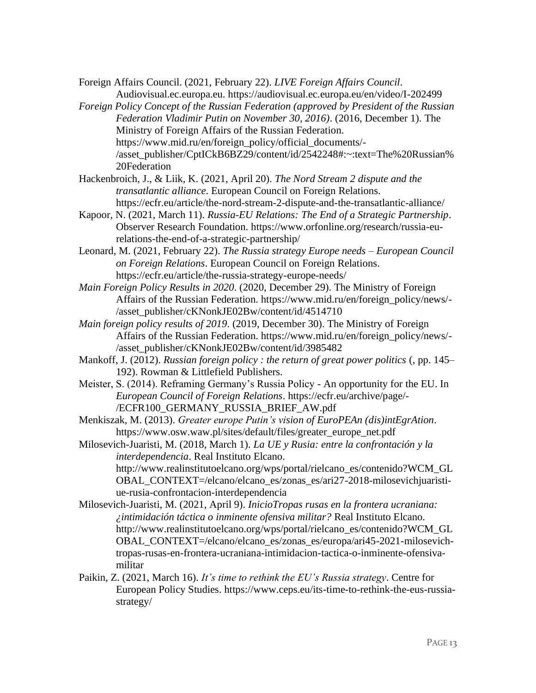Foreign Affairs Council. (2021, February 22). *LIVE Foreign Affairs Council*. Audiovisual.ec.europa.eu. https://audiovisual.ec.europa.eu/en/video/I-202499

- *Foreign Policy Concept of the Russian Federation (approved by President of the Russian Federation Vladimir Putin on November 30, 2016)*. (2016, December 1). The Ministry of Foreign Affairs of the Russian Federation. https://www.mid.ru/en/foreign\_policy/official\_documents/- /asset\_publisher/CptICkB6BZ29/content/id/2542248#:~:text=The%20Russian% 20Federation
- Hackenbroich, J., & Liik, K. (2021, April 20). *The Nord Stream 2 dispute and the transatlantic alliance*. European Council on Foreign Relations. https://ecfr.eu/article/the-nord-stream-2-dispute-and-the-transatlantic-alliance/
- Kapoor, N. (2021, March 11). *Russia-EU Relations: The End of a Strategic Partnership*. Observer Research Foundation. https://www.orfonline.org/research/russia-eurelations-the-end-of-a-strategic-partnership/
- Leonard, M. (2021, February 22). *The Russia strategy Europe needs – European Council on Foreign Relations*. European Council on Foreign Relations. https://ecfr.eu/article/the-russia-strategy-europe-needs/
- *Main Foreign Policy Results in 2020*. (2020, December 29). The Ministry of Foreign Affairs of the Russian Federation. https://www.mid.ru/en/foreign\_policy/news/- /asset\_publisher/cKNonkJE02Bw/content/id/4514710
- *Main foreign policy results of 2019*. (2019, December 30). The Ministry of Foreign Affairs of the Russian Federation. https://www.mid.ru/en/foreign\_policy/news/- /asset\_publisher/cKNonkJE02Bw/content/id/3985482
- Mankoff, J. (2012). *Russian foreign policy : the return of great power politics* (, pp. 145– 192). Rowman & Littlefield Publishers.
- Meister, S. (2014). Reframing Germany's Russia Policy An opportunity for the EU. In *European Council of Foreign Relations*. https://ecfr.eu/archive/page/- /ECFR100\_GERMANY\_RUSSIA\_BRIEF\_AW.pdf
- Menkiszak, M. (2013). *Greater europe Putin's vision of EuroPEAn (dis)intEgrAtion*. https://www.osw.waw.pl/sites/default/files/greater\_europe\_net.pdf

Milosevich-Juaristi, M. (2018, March 1). *La UE y Rusia: entre la confrontación y la interdependencia*. Real Instituto Elcano. http://www.realinstitutoelcano.org/wps/portal/rielcano\_es/contenido?WCM\_GL OBAL\_CONTEXT=/elcano/elcano\_es/zonas\_es/ari27-2018-milosevichjuaristiue-rusia-confrontacion-interdependencia

- Milosevich-Juaristi, M. (2021, April 9). *InicioTropas rusas en la frontera ucraniana: ¿intimidación táctica o inminente ofensiva militar?* Real Instituto Elcano. http://www.realinstitutoelcano.org/wps/portal/rielcano\_es/contenido?WCM\_GL OBAL\_CONTEXT=/elcano/elcano\_es/zonas\_es/europa/ari45-2021-milosevichtropas-rusas-en-frontera-ucraniana-intimidacion-tactica-o-inminente-ofensivamilitar
- Paikin, Z. (2021, March 16). *It's time to rethink the EU's Russia strategy*. Centre for European Policy Studies. https://www.ceps.eu/its-time-to-rethink-the-eus-russiastrategy/